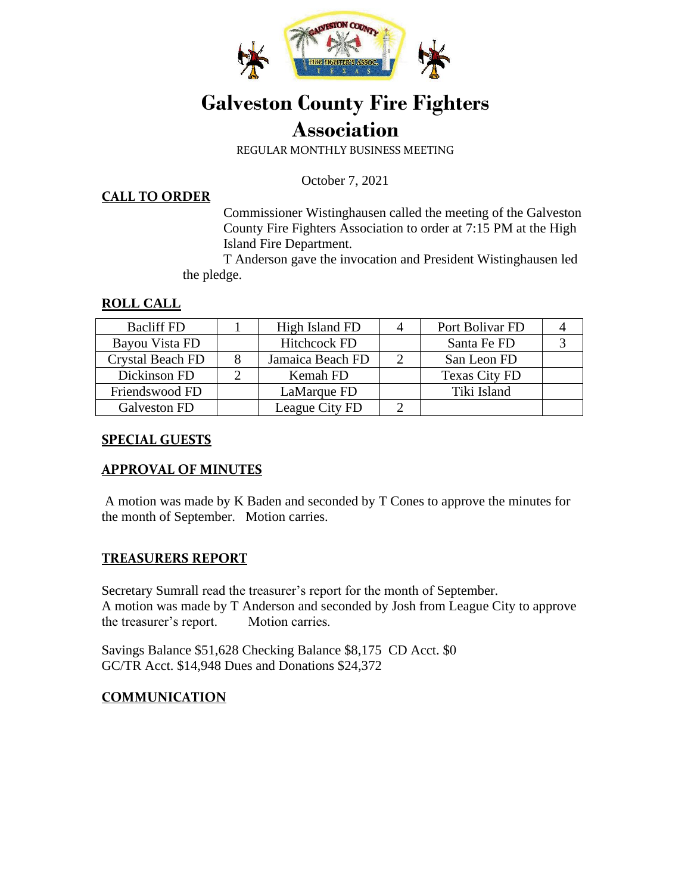

# **Galveston County Fire Fighters Association**

REGULAR MONTHLY BUSINESS MEETING

October 7, 2021

#### **CALL TO ORDER**

Commissioner Wistinghausen called the meeting of the Galveston County Fire Fighters Association to order at 7:15 PM at the High Island Fire Department.

 T Anderson gave the invocation and President Wistinghausen led the pledge.

### **ROLL CALL**

| <b>Bacliff FD</b>       | High Island FD      | Port Bolivar FD      |  |
|-------------------------|---------------------|----------------------|--|
| Bayou Vista FD          | <b>Hitchcock FD</b> | Santa Fe FD          |  |
| <b>Crystal Beach FD</b> | Jamaica Beach FD    | San Leon FD          |  |
| Dickinson FD            | Kemah FD            | <b>Texas City FD</b> |  |
| Friendswood FD          | LaMarque FD         | Tiki Island          |  |
| Galveston FD            | League City FD      |                      |  |

#### **SPECIAL GUESTS**

### **APPROVAL OF MINUTES**

A motion was made by K Baden and seconded by T Cones to approve the minutes for the month of September. Motion carries.

### **TREASURERS REPORT**

Secretary Sumrall read the treasurer's report for the month of September. A motion was made by T Anderson and seconded by Josh from League City to approve the treasurer's report. Motion carries.

Savings Balance \$51,628 Checking Balance \$8,175 CD Acct. \$0 GC/TR Acct. \$14,948 Dues and Donations \$24,372

### **COMMUNICATION**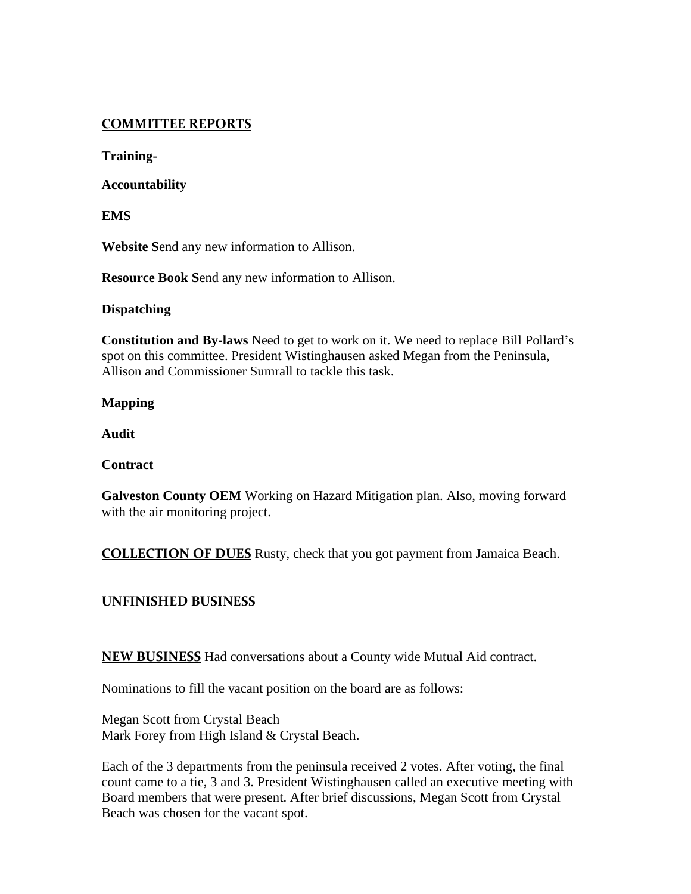## **COMMITTEE REPORTS**

**Training-**

**Accountability** 

**EMS** 

**Website S**end any new information to Allison.

**Resource Book S**end any new information to Allison.

#### **Dispatching**

**Constitution and By-laws** Need to get to work on it. We need to replace Bill Pollard's spot on this committee. President Wistinghausen asked Megan from the Peninsula, Allison and Commissioner Sumrall to tackle this task.

**Mapping** 

**Audit** 

**Contract** 

**Galveston County OEM** Working on Hazard Mitigation plan. Also, moving forward with the air monitoring project.

**COLLECTION OF DUES** Rusty, check that you got payment from Jamaica Beach.

## **UNFINISHED BUSINESS**

**NEW BUSINESS** Had conversations about a County wide Mutual Aid contract.

Nominations to fill the vacant position on the board are as follows:

Megan Scott from Crystal Beach Mark Forey from High Island & Crystal Beach.

Each of the 3 departments from the peninsula received 2 votes. After voting, the final count came to a tie, 3 and 3. President Wistinghausen called an executive meeting with Board members that were present. After brief discussions, Megan Scott from Crystal Beach was chosen for the vacant spot.